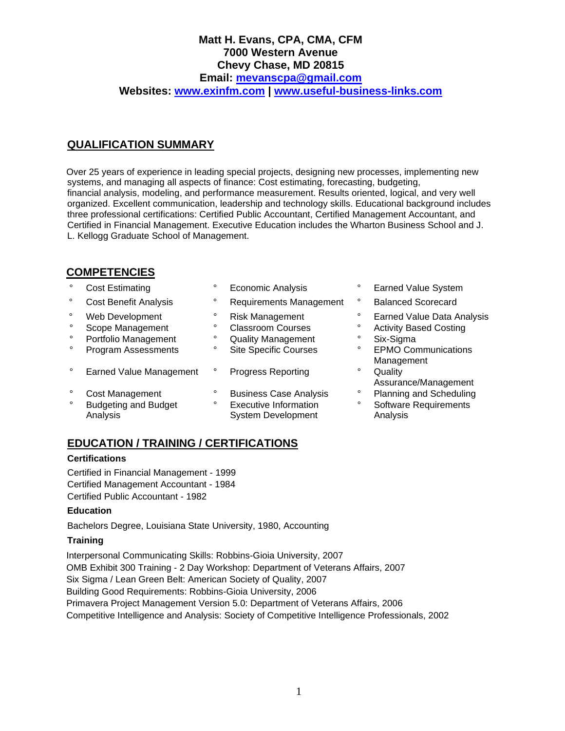## **Matt H. Evans, CPA, CMA, CFM 7000 Western Avenue Chevy Chase, MD 20815 Email: [mevanscpa@gmail.com](mailto:mevanscpa@gmail.com) Websites: [www.exinfm.com](http://www.exinfm.com/) | [www.useful-business-links.com](http://www.useful-business-links.com/)**

# **QUALIFICATION SUMMARY**

Over 25 years of experience in leading special projects, designing new processes, implementing new systems, and managing all aspects of finance: Cost estimating, forecasting, budgeting, financial analysis, modeling, and performance measurement. Results oriented, logical, and very well organized. Excellent communication, leadership and technology skills. Educational background includes three professional certifications: Certified Public Accountant, Certified Management Accountant, and Certified in Financial Management. Executive Education includes the Wharton Business School and J. L. Kellogg Graduate School of Management.

## **COMPETENCIES**

- 
- 
- 
- 
- ° Portfolio Management ° Quality Management ° Six-Sigma
- 
- ° Earned Value Management ° Progress Reporting Particle 10 and 17
- 
- 
- 
- ° Cost Benefit Analysis ° Requirements Management ° Balanced Scorecard
	-
	-
	-
	-
	-
	-
	- Analysis **System Development** Analysis **Analysis** System Development
- ° Cost Estimating ° Economic Analysis ° Earned Value System
	-
- ° Web Development ° Risk Management ° Earned Value Data Analysis
	- Scope Management  $\degree$  Classroom Courses  $\degree$  Activity Based Costing<br>Portfolio Management  $\degree$  Quality Management  $\degree$  Six-Sigma
		-
		- EPMO Communications Management
		- Assurance/Management
- ° Cost Management ° Business Case Analysis ° Planning and Scheduling<br>Cost Dudocting and Budget ° Executive Information ° Settware Bequirements ° Budgeting and Budget ° Executive Information ° Software Requirements

# **EDUCATION / TRAINING / CERTIFICATIONS**

### **Certifications**

Certified in Financial Management - 1999 Certified Management Accountant - 1984 Certified Public Accountant - 1982

### **Education**

Bachelors Degree, Louisiana State University, 1980, Accounting

### **Training**

Interpersonal Communicating Skills: Robbins-Gioia University, 2007 OMB Exhibit 300 Training - 2 Day Workshop: Department of Veterans Affairs, 2007 Six Sigma / Lean Green Belt: American Society of Quality, 2007 Building Good Requirements: Robbins-Gioia University, 2006 Primavera Project Management Version 5.0: Department of Veterans Affairs, 2006 Competitive Intelligence and Analysis: Society of Competitive Intelligence Professionals, 2002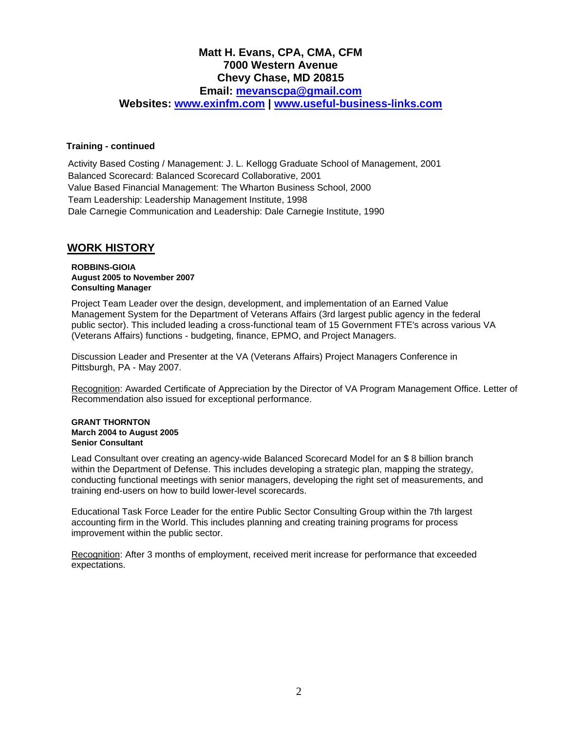# **Matt H. Evans, CPA, CMA, CFM 7000 Western Avenue Chevy Chase, MD 20815**

**Email: [mevanscpa@gmail.com](mailto:mevanscpa@gmail.com)**

**Websites: [www.exinfm.com](http://www.exinfm.com/) | [www.useful-business-links.com](http://www.useful-business-links.com/)**

#### **Training - continued**

Activity Based Costing / Management: J. L. Kellogg Graduate School of Management, 2001 Balanced Scorecard: Balanced Scorecard Collaborative, 2001 Value Based Financial Management: The Wharton Business School, 2000 Team Leadership: Leadership Management Institute, 1998 Dale Carnegie Communication and Leadership: Dale Carnegie Institute, 1990

## **WORK HISTORY**

#### **ROBBINS-GIOIA August 2005 to November 2007 Consulting Manager**

Project Team Leader over the design, development, and implementation of an Earned Value Management System for the Department of Veterans Affairs (3rd largest public agency in the federal public sector). This included leading a cross-functional team of 15 Government FTE's across various VA (Veterans Affairs) functions - budgeting, finance, EPMO, and Project Managers.

Discussion Leader and Presenter at the VA (Veterans Affairs) Project Managers Conference in Pittsburgh, PA - May 2007.

Recognition: Awarded Certificate of Appreciation by the Director of VA Program Management Office. Letter of Recommendation also issued for exceptional performance.

#### **GRANT THORNTON March 2004 to August 2005 Senior Consultant**

Lead Consultant over creating an agency-wide Balanced Scorecard Model for an \$ 8 billion branch within the Department of Defense. This includes developing a strategic plan, mapping the strategy, conducting functional meetings with senior managers, developing the right set of measurements, and training end-users on how to build lower-level scorecards.

Educational Task Force Leader for the entire Public Sector Consulting Group within the 7th largest accounting firm in the World. This includes planning and creating training programs for process improvement within the public sector.

Recognition: After 3 months of employment, received merit increase for performance that exceeded expectations.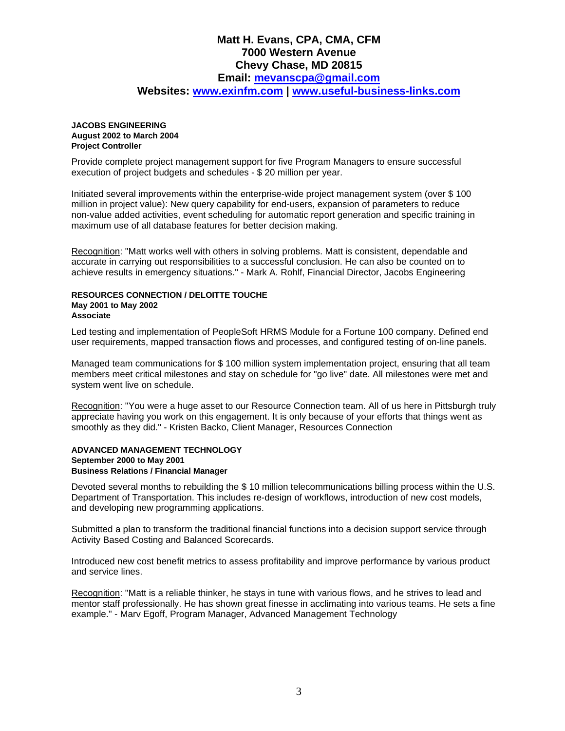### **Matt H. Evans, CPA, CMA, CFM 7000 Western Avenue Chevy Chase, MD 20815 Email: [mevanscpa@gmail.com](mailto:mevanscpa@gmail.com) Websites: [www.exinfm.com](http://www.exinfm.com/) | [www.useful-business-links.com](http://www.useful-business-links.com/)**

#### **JACOBS ENGINEERING August 2002 to March 2004 Project Controller**

Provide complete project management support for five Program Managers to ensure successful execution of project budgets and schedules - \$ 20 million per year.

Initiated several improvements within the enterprise-wide project management system (over \$ 100 million in project value): New query capability for end-users, expansion of parameters to reduce non-value added activities, event scheduling for automatic report generation and specific training in maximum use of all database features for better decision making.

Recognition: "Matt works well with others in solving problems. Matt is consistent, dependable and accurate in carrying out responsibilities to a successful conclusion. He can also be counted on to achieve results in emergency situations." - Mark A. Rohlf, Financial Director, Jacobs Engineering

#### **RESOURCES CONNECTION / DELOITTE TOUCHE May 2001 to May 2002 Associate**

Led testing and implementation of PeopleSoft HRMS Module for a Fortune 100 company. Defined end user requirements, mapped transaction flows and processes, and configured testing of on-line panels.

Managed team communications for \$ 100 million system implementation project, ensuring that all team members meet critical milestones and stay on schedule for "go live" date. All milestones were met and system went live on schedule.

Recognition: "You were a huge asset to our Resource Connection team. All of us here in Pittsburgh truly appreciate having you work on this engagement. It is only because of your efforts that things went as smoothly as they did." - Kristen Backo, Client Manager, Resources Connection

#### **ADVANCED MANAGEMENT TECHNOLOGY September 2000 to May 2001 Business Relations / Financial Manager**

Devoted several months to rebuilding the \$ 10 million telecommunications billing process within the U.S. Department of Transportation. This includes re-design of workflows, introduction of new cost models, and developing new programming applications.

Submitted a plan to transform the traditional financial functions into a decision support service through Activity Based Costing and Balanced Scorecards.

Introduced new cost benefit metrics to assess profitability and improve performance by various product and service lines.

Recognition: "Matt is a reliable thinker, he stays in tune with various flows, and he strives to lead and mentor staff professionally. He has shown great finesse in acclimating into various teams. He sets a fine example." - Marv Egoff, Program Manager, Advanced Management Technology